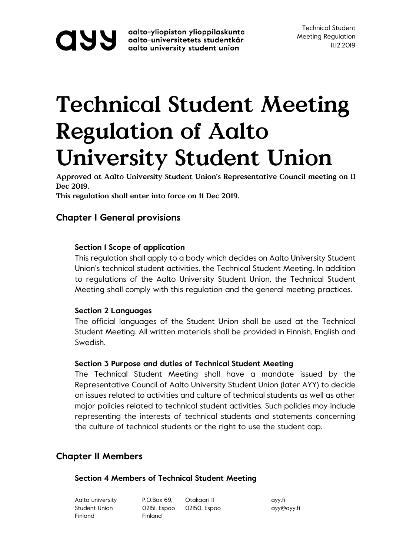**OUV** aalto-yliopiston ylioppilaskunta<br>aalto-universitetets studentkår<br>aalto university student union aalto-yliopiston ylioppilaskunta

## **Technical Student Meeting Regulation of Aalto University Student Union**

**Approved at Aalto University Student Union's Representative Council meeting on 11 Dec 2019.**

**This regulation shall enter into force on 11 Dec 2019.** 

## **Chapter I General provisions**

## **Section 1 Scope of application**

This regulation shall apply to a body which decides on Aalto University Student Union's technical student activities, the Technical Student Meeting. In addition to regulations of the Aalto University Student Union, the Technical Student Meeting shall comply with this regulation and the general meeting practices.

## **Section 2 Languages**

The official languages of the Student Union shall be used at the Technical Student Meeting. All written materials shall be provided in Finnish, English and Swedish.

## **Section 3 Purpose and duties of Technical Student Meeting**

The Technical Student Meeting shall have a mandate issued by the Representative Council of Aalto University Student Union (later AYY) to decide on issues related to activities and culture of technical students as well as other major policies related to technical student activities. Such policies may include representing the interests of technical students and statements concerning the culture of technical students or the right to use the student cap.

## **Chapter II Members**

## **Section 4 Members of Technical Student Meeting**

| Aalto university | P.O.Box 69. | Otakaari II               | ayy.fi     |
|------------------|-------------|---------------------------|------------|
| Student Union    |             | 02151, Espoo 02150, Espoo | ayy@ayy.fi |
| Finland          | Finland     |                           |            |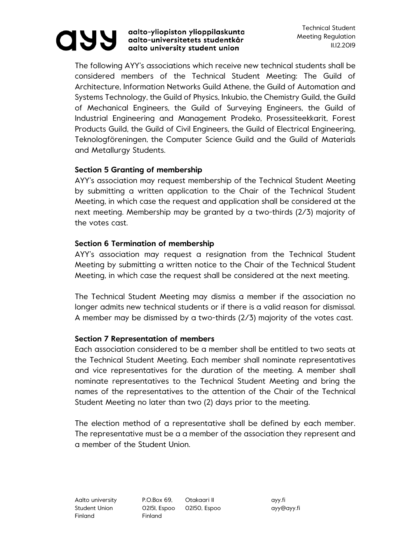# **880**

#### aalto-yliopiston ylioppilaskunta aalto-universitetets studentkår aalto university student union

The following AYY's associations which receive new technical students shall be considered members of the Technical Student Meeting: The Guild of Architecture, Information Networks Guild Athene, the Guild of Automation and Systems Technology, the Guild of Physics, Inkubio, the Chemistry Guild, the Guild of Mechanical Engineers, the Guild of Surveying Engineers, the Guild of Industrial Engineering and Management Prodeko, Prosessiteekkarit, Forest Products Guild, the Guild of Civil Engineers, the Guild of Electrical Engineering, Teknologföreningen, the Computer Science Guild and the Guild of Materials and Metallurgy Students.

## **Section 5 Granting of membership**

AYY's association may request membership of the Technical Student Meeting by submitting a written application to the Chair of the Technical Student Meeting, in which case the request and application shall be considered at the next meeting. Membership may be granted by a two-thirds (2/3) majority of the votes cast.

## **Section 6 Termination of membership**

AYY's association may request a resignation from the Technical Student Meeting by submitting a written notice to the Chair of the Technical Student Meeting, in which case the request shall be considered at the next meeting.

The Technical Student Meeting may dismiss a member if the association no longer admits new technical students or if there is a valid reason for dismissal. A member may be dismissed by a two-thirds (2/3) majority of the votes cast.

## **Section 7 Representation of members**

Each association considered to be a member shall be entitled to two seats at the Technical Student Meeting. Each member shall nominate representatives and vice representatives for the duration of the meeting. A member shall nominate representatives to the Technical Student Meeting and bring the names of the representatives to the attention of the Chair of the Technical Student Meeting no later than two (2) days prior to the meeting.

The election method of a representative shall be defined by each member. The representative must be a a member of the association they represent and a member of the Student Union.

Finland Finland

Aalto university P.O.Box 69, Otakaari II ayy.fi Student Union **02151, Espoo 02150, Espoo** ayy@ayy.fi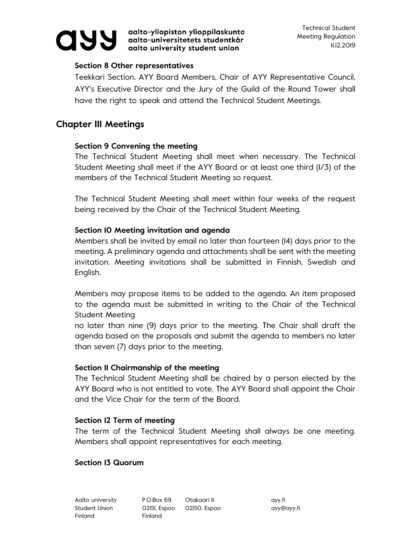

aalto-yliopiston ylioppilaskunta aalto-universitetets studentkår aalto university student union

#### **Section 8 Other representatives**

Teekkari Section, AYY Board Members, Chair of AYY Representative Council, AYY's Executive Director and the Jury of the Guild of the Round Tower shall have the right to speak and attend the Technical Student Meetings.

## **Chapter III Meetings**

### **Section 9 Convening the meeting**

The Technical Student Meeting shall meet when necessary. The Technical Student Meeting shall meet if the AYY Board or at least one third (1/3) of the members of the Technical Student Meeting so request.

The Technical Student Meeting shall meet within four weeks of the request being received by the Chair of the Technical Student Meeting.

### **Section 10 Meeting invitation and agenda**

Members shall be invited by email no later than fourteen (14) days prior to the meeting. A preliminary agenda and attachments shall be sent with the meeting invitation. Meeting invitations shall be submitted in Finnish, Swedish and English.

Members may propose items to be added to the agenda. An item proposed to the agenda must be submitted in writing to the Chair of the Technical Student Meeting

no later than nine (9) days prior to the meeting. The Chair shall draft the agenda based on the proposals and submit the agenda to members no later than seven (7) days prior to the meeting.

## **Section 11 Chairmanship of the meeting**

The Technical Student Meeting shall be chaired by a person elected by the AYY Board who is not entitled to vote. The AYY Board shall appoint the Chair and the Vice Chair for the term of the Board.

## **Section 12 Term of meeting**

The term of the Technical Student Meeting shall always be one meeting. Members shall appoint representatives for each meeting.

#### **Section 13 Quorum**

Aalto university P.O.Box 69, Otakaari II ayy.fi Student Union **02151, Espoo 02150, Espoo** ayy@ayy.fi Finland Finland